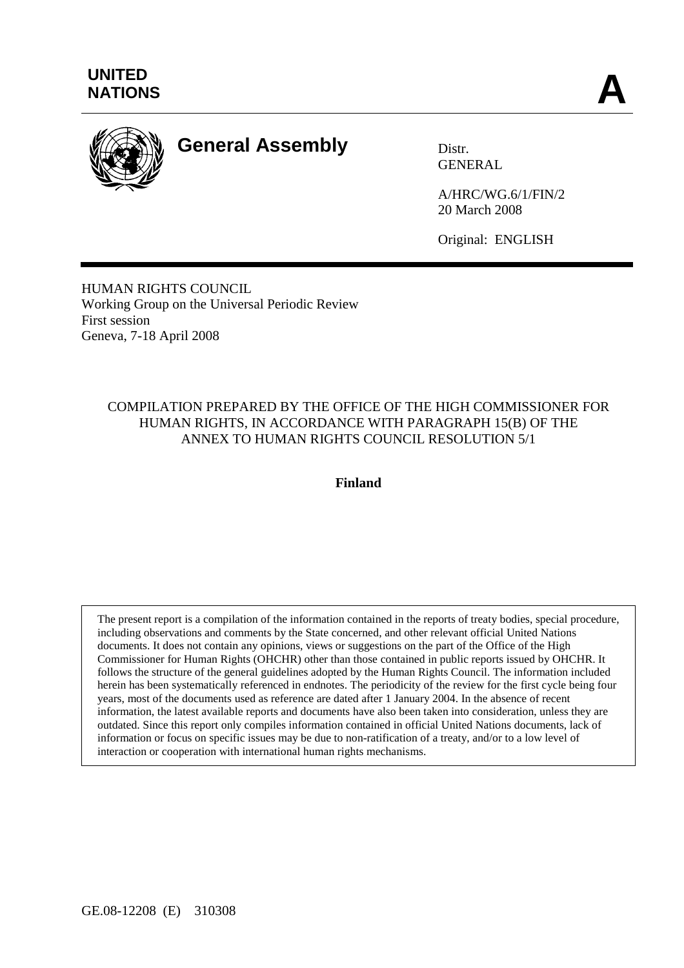

# **General Assembly** Distr.

GENERAL

A/HRC/WG.6/1/FIN/2 20 March 2008

Original: ENGLISH

HUMAN RIGHTS COUNCIL Working Group on the Universal Periodic Review First session Geneva, 7-18 April 2008

## COMPILATION PREPARED BY THE OFFICE OF THE HIGH COMMISSIONER FOR HUMAN RIGHTS, IN ACCORDANCE WITH PARAGRAPH 15(B) OF THE ANNEX TO HUMAN RIGHTS COUNCIL RESOLUTION 5/1

**Finland** 

The present report is a compilation of the information contained in the reports of treaty bodies, special procedure, including observations and comments by the State concerned, and other relevant official United Nations documents. It does not contain any opinions, views or suggestions on the part of the Office of the High Commissioner for Human Rights (OHCHR) other than those contained in public reports issued by OHCHR. It follows the structure of the general guidelines adopted by the Human Rights Council. The information included herein has been systematically referenced in endnotes. The periodicity of the review for the first cycle being four years, most of the documents used as reference are dated after 1 January 2004. In the absence of recent information, the latest available reports and documents have also been taken into consideration, unless they are outdated. Since this report only compiles information contained in official United Nations documents, lack of information or focus on specific issues may be due to non-ratification of a treaty, and/or to a low level of interaction or cooperation with international human rights mechanisms.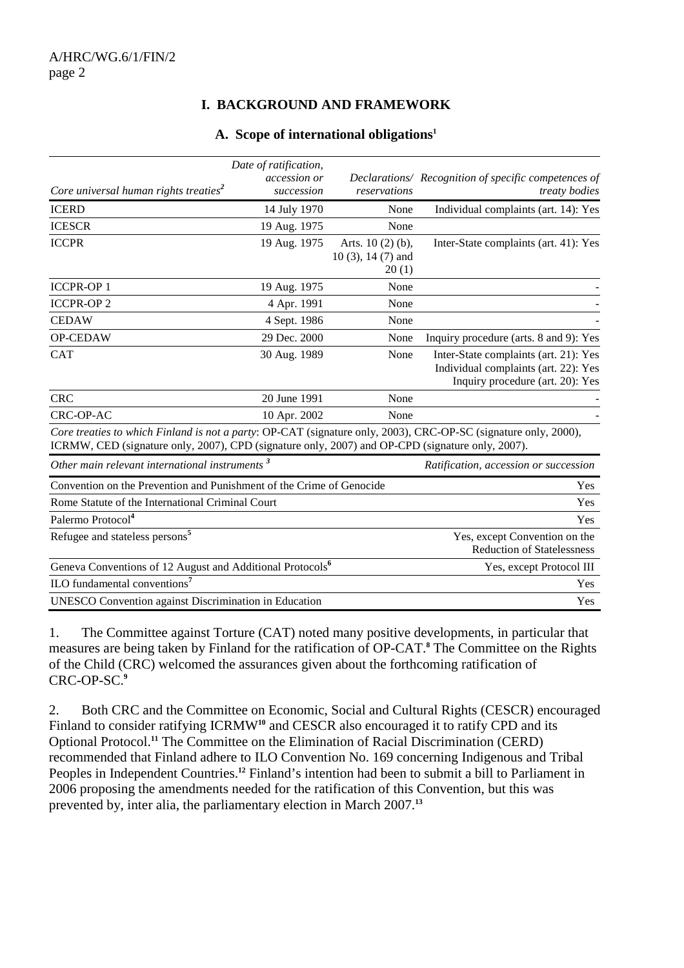# **I. BACKGROUND AND FRAMEWORK**

#### **A. Scope of international obligations1**

| Core universal human rights treaties <sup>2</sup>                                                                                                                                                                   | Date of ratification,<br>accession or<br>succession | reservations                                         | Declarations/ Recognition of specific competences of<br><i>treaty bodies</i>                                      |
|---------------------------------------------------------------------------------------------------------------------------------------------------------------------------------------------------------------------|-----------------------------------------------------|------------------------------------------------------|-------------------------------------------------------------------------------------------------------------------|
| <b>ICERD</b>                                                                                                                                                                                                        | 14 July 1970                                        | None                                                 | Individual complaints (art. 14): Yes                                                                              |
| <b>ICESCR</b>                                                                                                                                                                                                       | 19 Aug. 1975                                        | None                                                 |                                                                                                                   |
| <b>ICCPR</b>                                                                                                                                                                                                        | 19 Aug. 1975                                        | Arts. $10(2)(b)$ ,<br>$10(3)$ , $14(7)$ and<br>20(1) | Inter-State complaints (art. 41): Yes                                                                             |
| <b>ICCPR-OP1</b>                                                                                                                                                                                                    | 19 Aug. 1975                                        | None                                                 |                                                                                                                   |
| <b>ICCPR-OP2</b>                                                                                                                                                                                                    | 4 Apr. 1991                                         | None                                                 |                                                                                                                   |
| <b>CEDAW</b>                                                                                                                                                                                                        | 4 Sept. 1986                                        | None                                                 |                                                                                                                   |
| OP-CEDAW                                                                                                                                                                                                            | 29 Dec. 2000                                        | None                                                 | Inquiry procedure (arts. 8 and 9): Yes                                                                            |
| <b>CAT</b>                                                                                                                                                                                                          | 30 Aug. 1989                                        | None                                                 | Inter-State complaints (art. 21): Yes<br>Individual complaints (art. 22): Yes<br>Inquiry procedure (art. 20): Yes |
| <b>CRC</b>                                                                                                                                                                                                          | 20 June 1991                                        | None                                                 |                                                                                                                   |
| CRC-OP-AC                                                                                                                                                                                                           | 10 Apr. 2002                                        | None                                                 |                                                                                                                   |
| Core treaties to which Finland is not a party: OP-CAT (signature only, 2003), CRC-OP-SC (signature only, 2000),<br>ICRMW, CED (signature only, 2007), CPD (signature only, 2007) and OP-CPD (signature only, 2007). |                                                     |                                                      |                                                                                                                   |
| Other main relevant international instruments <sup>3</sup>                                                                                                                                                          |                                                     |                                                      | Ratification, accession or succession                                                                             |
| Convention on the Prevention and Punishment of the Crime of Genocide                                                                                                                                                |                                                     |                                                      | <b>Yes</b>                                                                                                        |
| Rome Statute of the International Criminal Court                                                                                                                                                                    |                                                     |                                                      | Yes                                                                                                               |
| Palermo Protocol <sup>4</sup>                                                                                                                                                                                       |                                                     |                                                      | Yes                                                                                                               |
| Refugee and stateless persons <sup>5</sup>                                                                                                                                                                          |                                                     |                                                      | Yes, except Convention on the<br><b>Reduction of Statelessness</b>                                                |
| Geneva Conventions of 12 August and Additional Protocols <sup>6</sup>                                                                                                                                               |                                                     |                                                      | Yes, except Protocol III                                                                                          |
| ILO fundamental conventions <sup>7</sup>                                                                                                                                                                            |                                                     |                                                      | Yes                                                                                                               |
| <b>UNESCO</b> Convention against Discrimination in Education                                                                                                                                                        |                                                     |                                                      | Yes                                                                                                               |

1. The Committee against Torture (CAT) noted many positive developments, in particular that measures are being taken by Finland for the ratification of OP-CAT.**<sup>8</sup>** The Committee on the Rights of the Child (CRC) welcomed the assurances given about the forthcoming ratification of CRC-OP-SC.**<sup>9</sup>**

2. Both CRC and the Committee on Economic, Social and Cultural Rights (CESCR) encouraged Finland to consider ratifying ICRMW<sup>10</sup> and CESCR also encouraged it to ratify CPD and its Optional Protocol.**<sup>11</sup>** The Committee on the Elimination of Racial Discrimination (CERD) recommended that Finland adhere to ILO Convention No. 169 concerning Indigenous and Tribal Peoples in Independent Countries.**<sup>12</sup>** Finland's intention had been to submit a bill to Parliament in 2006 proposing the amendments needed for the ratification of this Convention, but this was prevented by, inter alia, the parliamentary election in March 2007.**13**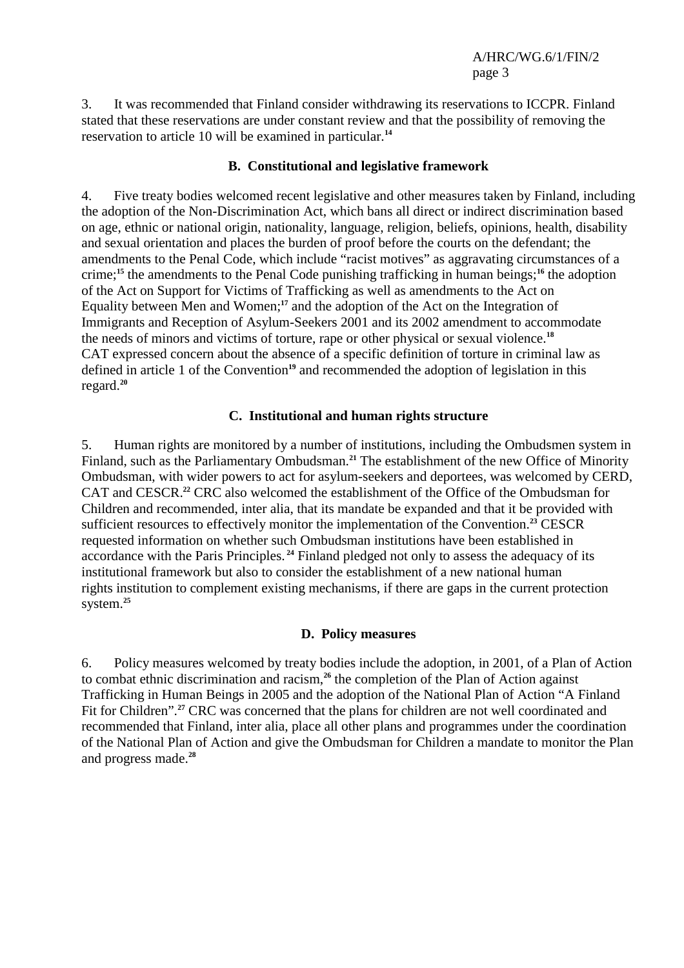3. It was recommended that Finland consider withdrawing its reservations to ICCPR. Finland stated that these reservations are under constant review and that the possibility of removing the reservation to article 10 will be examined in particular.**<sup>14</sup>**

#### **B. Constitutional and legislative framework**

4. Five treaty bodies welcomed recent legislative and other measures taken by Finland, including the adoption of the Non-Discrimination Act, which bans all direct or indirect discrimination based on age, ethnic or national origin, nationality, language, religion, beliefs, opinions, health, disability and sexual orientation and places the burden of proof before the courts on the defendant; the amendments to the Penal Code, which include "racist motives" as aggravating circumstances of a crime;**<sup>15</sup>** the amendments to the Penal Code punishing trafficking in human beings;**<sup>16</sup>** the adoption of the Act on Support for Victims of Trafficking as well as amendments to the Act on Equality between Men and Women;**<sup>17</sup>** and the adoption of the Act on the Integration of Immigrants and Reception of Asylum-Seekers 2001 and its 2002 amendment to accommodate the needs of minors and victims of torture, rape or other physical or sexual violence.**<sup>18</sup>** CAT expressed concern about the absence of a specific definition of torture in criminal law as defined in article 1 of the Convention<sup>19</sup> and recommended the adoption of legislation in this regard.**<sup>20</sup>**

## **C. Institutional and human rights structure**

5. Human rights are monitored by a number of institutions, including the Ombudsmen system in Finland, such as the Parliamentary Ombudsman.**<sup>21</sup>** The establishment of the new Office of Minority Ombudsman, with wider powers to act for asylum-seekers and deportees, was welcomed by CERD, CAT and CESCR.**<sup>22</sup>** CRC also welcomed the establishment of the Office of the Ombudsman for Children and recommended, inter alia, that its mandate be expanded and that it be provided with sufficient resources to effectively monitor the implementation of the Convention.**<sup>23</sup>** CESCR requested information on whether such Ombudsman institutions have been established in accordance with the Paris Principles.**<sup>24</sup>** Finland pledged not only to assess the adequacy of its institutional framework but also to consider the establishment of a new national human rights institution to complement existing mechanisms, if there are gaps in the current protection system.**<sup>25</sup>**

#### **D. Policy measures**

6. Policy measures welcomed by treaty bodies include the adoption, in 2001, of a Plan of Action to combat ethnic discrimination and racism,**<sup>26</sup>** the completion of the Plan of Action against Trafficking in Human Beings in 2005 and the adoption of the National Plan of Action "A Finland Fit for Children".**<sup>27</sup>** CRC was concerned that the plans for children are not well coordinated and recommended that Finland, inter alia, place all other plans and programmes under the coordination of the National Plan of Action and give the Ombudsman for Children a mandate to monitor the Plan and progress made.**28**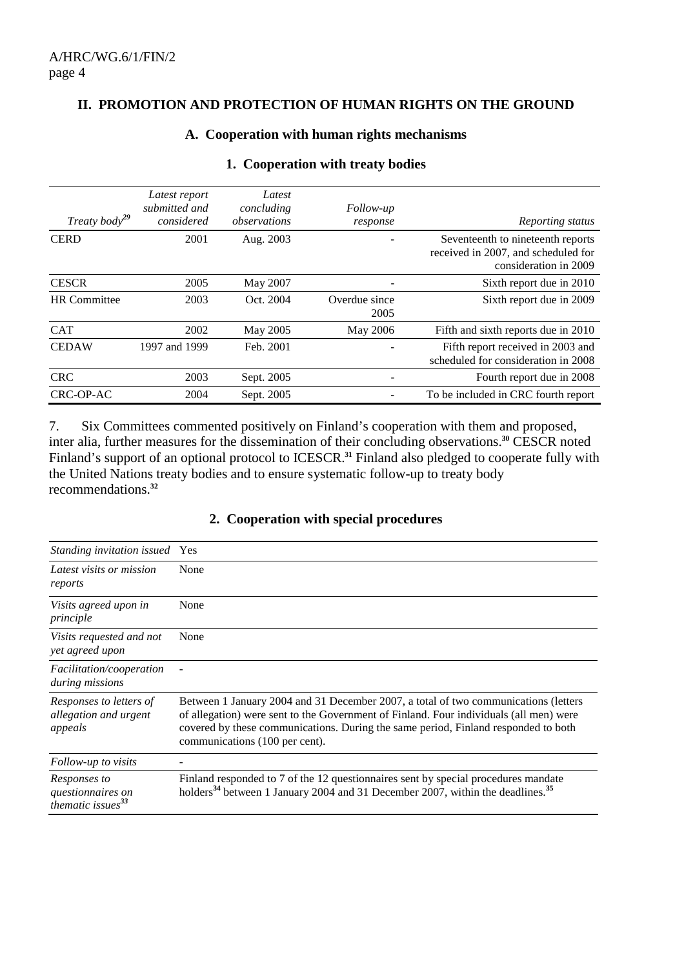#### **II. PROMOTION AND PROTECTION OF HUMAN RIGHTS ON THE GROUND**

#### **A. Cooperation with human rights mechanisms**

| Treaty body <sup>29</sup> | Latest report<br>submitted and<br>considered | Latest<br>concluding<br>observations | <i>Follow-up</i><br>response | Reporting status                                                                                  |
|---------------------------|----------------------------------------------|--------------------------------------|------------------------------|---------------------------------------------------------------------------------------------------|
| <b>CERD</b>               | 2001                                         | Aug. 2003                            |                              | Seventeenth to nineteenth reports<br>received in 2007, and scheduled for<br>consideration in 2009 |
| <b>CESCR</b>              | 2005                                         | May 2007                             |                              | Sixth report due in 2010                                                                          |
| <b>HR</b> Committee       | 2003                                         | Oct. 2004                            | Overdue since<br>2005        | Sixth report due in 2009                                                                          |
| <b>CAT</b>                | 2002                                         | May 2005                             | May 2006                     | Fifth and sixth reports due in 2010                                                               |
| <b>CEDAW</b>              | 1997 and 1999                                | Feb. 2001                            |                              | Fifth report received in 2003 and<br>scheduled for consideration in 2008                          |
| <b>CRC</b>                | 2003                                         | Sept. 2005                           |                              | Fourth report due in 2008                                                                         |
| CRC-OP-AC                 | 2004                                         | Sept. 2005                           | $\overline{\phantom{a}}$     | To be included in CRC fourth report                                                               |

#### **1. Cooperation with treaty bodies**

7. Six Committees commented positively on Finland's cooperation with them and proposed, inter alia, further measures for the dissemination of their concluding observations.**<sup>30</sup>** CESCR noted Finland's support of an optional protocol to ICESCR.<sup>31</sup> Finland also pledged to cooperate fully with the United Nations treaty bodies and to ensure systematic follow-up to treaty body recommendations.**<sup>32</sup>**

## **2. Cooperation with special procedures**

| Standing invitation issued Yes                                              |                                                                                                                                                                                                                                                                                                       |
|-----------------------------------------------------------------------------|-------------------------------------------------------------------------------------------------------------------------------------------------------------------------------------------------------------------------------------------------------------------------------------------------------|
| Latest visits or mission<br>reports                                         | None                                                                                                                                                                                                                                                                                                  |
| Visits agreed upon in<br>principle                                          | None                                                                                                                                                                                                                                                                                                  |
| Visits requested and not<br>yet agreed upon                                 | None                                                                                                                                                                                                                                                                                                  |
| <i>Facilitation/cooperation</i><br>during missions                          |                                                                                                                                                                                                                                                                                                       |
| Responses to letters of<br>allegation and urgent<br>appeals                 | Between 1 January 2004 and 31 December 2007, a total of two communications (letters<br>of allegation) were sent to the Government of Finland. Four individuals (all men) were<br>covered by these communications. During the same period, Finland responded to both<br>communications (100 per cent). |
| Follow-up to visits                                                         |                                                                                                                                                                                                                                                                                                       |
| Responses to<br>questionnaires on<br>$\hat{t}$ hematic issues <sup>33</sup> | Finland responded to 7 of the 12 questionnaires sent by special procedures mandate<br>holders <sup>34</sup> between 1 January 2004 and 31 December 2007, within the deadlines. <sup>35</sup>                                                                                                          |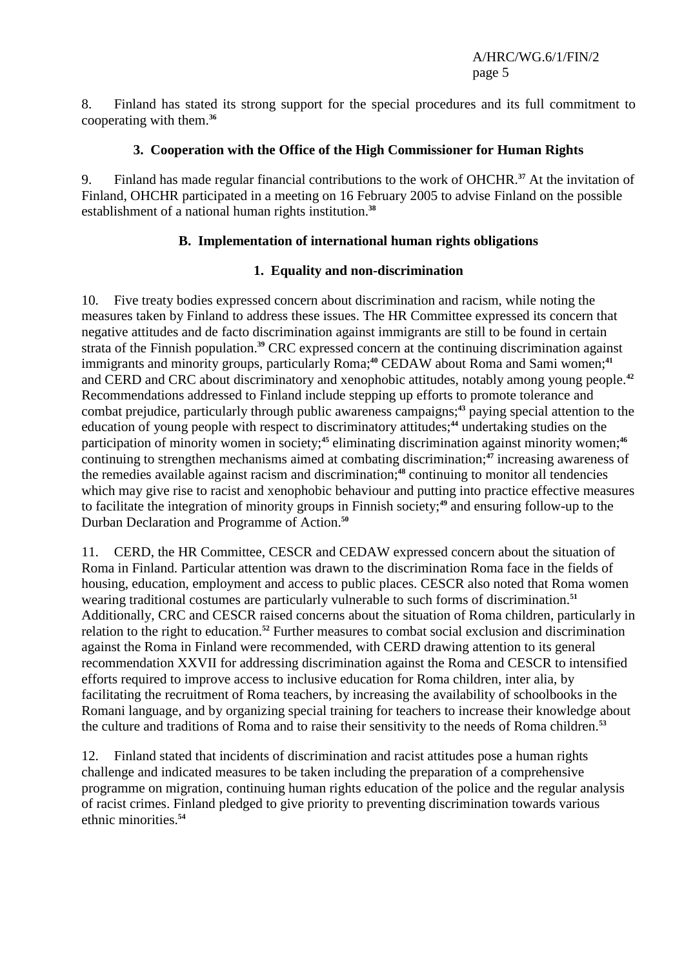8. Finland has stated its strong support for the special procedures and its full commitment to cooperating with them.**<sup>36</sup>**

### **3. Cooperation with the Office of the High Commissioner for Human Rights**

9. Finland has made regular financial contributions to the work of OHCHR.**<sup>37</sup>** At the invitation of Finland, OHCHR participated in a meeting on 16 February 2005 to advise Finland on the possible establishment of a national human rights institution.**<sup>38</sup>**

### **B. Implementation of international human rights obligations**

## **1. Equality and non-discrimination**

10. Five treaty bodies expressed concern about discrimination and racism, while noting the measures taken by Finland to address these issues. The HR Committee expressed its concern that negative attitudes and de facto discrimination against immigrants are still to be found in certain strata of the Finnish population.**<sup>39</sup>** CRC expressed concern at the continuing discrimination against immigrants and minority groups, particularly Roma;**<sup>40</sup>** CEDAW about Roma and Sami women;**<sup>41</sup>** and CERD and CRC about discriminatory and xenophobic attitudes, notably among young people.**<sup>42</sup>** Recommendations addressed to Finland include stepping up efforts to promote tolerance and combat prejudice, particularly through public awareness campaigns;<sup>43</sup> paying special attention to the education of young people with respect to discriminatory attitudes;**<sup>44</sup>** undertaking studies on the participation of minority women in society;<sup>45</sup> eliminating discrimination against minority women;<sup>46</sup> continuing to strengthen mechanisms aimed at combating discrimination;**<sup>47</sup>** increasing awareness of the remedies available against racism and discrimination;**<sup>48</sup>** continuing to monitor all tendencies which may give rise to racist and xenophobic behaviour and putting into practice effective measures to facilitate the integration of minority groups in Finnish society;**<sup>49</sup>** and ensuring follow-up to the Durban Declaration and Programme of Action.**<sup>50</sup>**

11. CERD, the HR Committee, CESCR and CEDAW expressed concern about the situation of Roma in Finland. Particular attention was drawn to the discrimination Roma face in the fields of housing, education, employment and access to public places. CESCR also noted that Roma women wearing traditional costumes are particularly vulnerable to such forms of discrimination.**<sup>51</sup>** Additionally, CRC and CESCR raised concerns about the situation of Roma children, particularly in relation to the right to education.**<sup>52</sup>** Further measures to combat social exclusion and discrimination against the Roma in Finland were recommended, with CERD drawing attention to its general recommendation XXVII for addressing discrimination against the Roma and CESCR to intensified efforts required to improve access to inclusive education for Roma children, inter alia, by facilitating the recruitment of Roma teachers, by increasing the availability of schoolbooks in the Romani language, and by organizing special training for teachers to increase their knowledge about the culture and traditions of Roma and to raise their sensitivity to the needs of Roma children.**<sup>53</sup>**

12. Finland stated that incidents of discrimination and racist attitudes pose a human rights challenge and indicated measures to be taken including the preparation of a comprehensive programme on migration, continuing human rights education of the police and the regular analysis of racist crimes. Finland pledged to give priority to preventing discrimination towards various ethnic minorities.**54**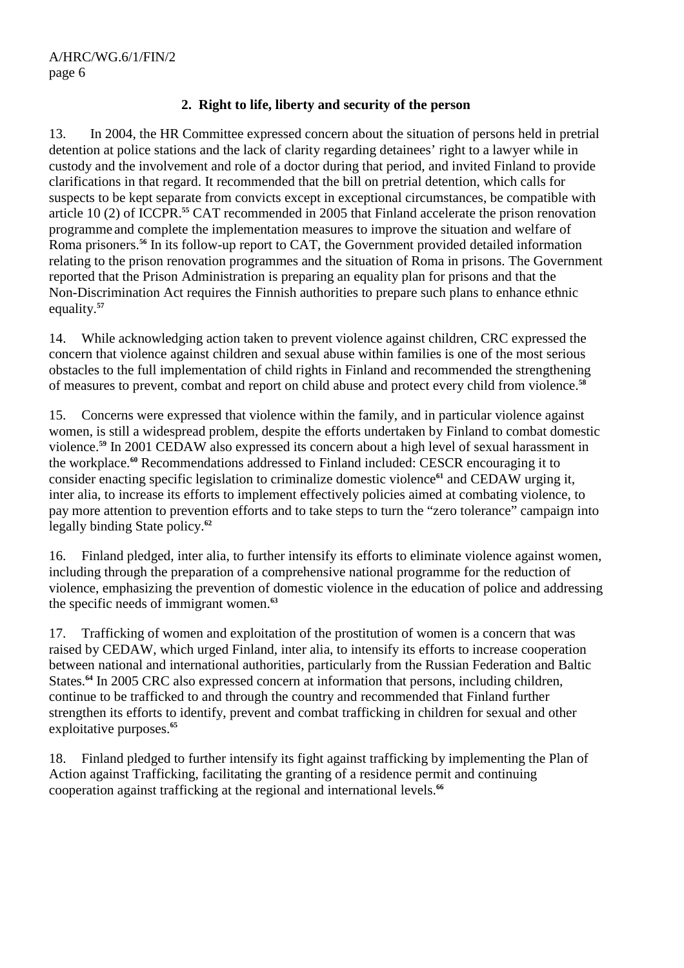# **2. Right to life, liberty and security of the person**

13. In 2004, the HR Committee expressed concern about the situation of persons held in pretrial detention at police stations and the lack of clarity regarding detainees' right to a lawyer while in custody and the involvement and role of a doctor during that period, and invited Finland to provide clarifications in that regard. It recommended that the bill on pretrial detention, which calls for suspects to be kept separate from convicts except in exceptional circumstances, be compatible with article 10 (2) of ICCPR.**<sup>55</sup>** CAT recommended in 2005 that Finland accelerate the prison renovation programme and complete the implementation measures to improve the situation and welfare of Roma prisoners.**<sup>56</sup>** In its follow-up report to CAT, the Government provided detailed information relating to the prison renovation programmes and the situation of Roma in prisons. The Government reported that the Prison Administration is preparing an equality plan for prisons and that the Non-Discrimination Act requires the Finnish authorities to prepare such plans to enhance ethnic equality.**<sup>57</sup>**

14. While acknowledging action taken to prevent violence against children, CRC expressed the concern that violence against children and sexual abuse within families is one of the most serious obstacles to the full implementation of child rights in Finland and recommended the strengthening of measures to prevent, combat and report on child abuse and protect every child from violence.**<sup>58</sup>**

15. Concerns were expressed that violence within the family, and in particular violence against women, is still a widespread problem, despite the efforts undertaken by Finland to combat domestic violence.**<sup>59</sup>** In 2001 CEDAW also expressed its concern about a high level of sexual harassment in the workplace.**<sup>60</sup>** Recommendations addressed to Finland included: CESCR encouraging it to consider enacting specific legislation to criminalize domestic violence**<sup>61</sup>** and CEDAW urging it, inter alia, to increase its efforts to implement effectively policies aimed at combating violence, to pay more attention to prevention efforts and to take steps to turn the "zero tolerance" campaign into legally binding State policy.**<sup>62</sup>**

16. Finland pledged, inter alia, to further intensify its efforts to eliminate violence against women, including through the preparation of a comprehensive national programme for the reduction of violence, emphasizing the prevention of domestic violence in the education of police and addressing the specific needs of immigrant women.**<sup>63</sup>**

17. Trafficking of women and exploitation of the prostitution of women is a concern that was raised by CEDAW, which urged Finland, inter alia, to intensify its efforts to increase cooperation between national and international authorities, particularly from the Russian Federation and Baltic States.**<sup>64</sup>** In 2005 CRC also expressed concern at information that persons, including children, continue to be trafficked to and through the country and recommended that Finland further strengthen its efforts to identify, prevent and combat trafficking in children for sexual and other exploitative purposes.**<sup>65</sup>**

18. Finland pledged to further intensify its fight against trafficking by implementing the Plan of Action against Trafficking, facilitating the granting of a residence permit and continuing cooperation against trafficking at the regional and international levels.**66**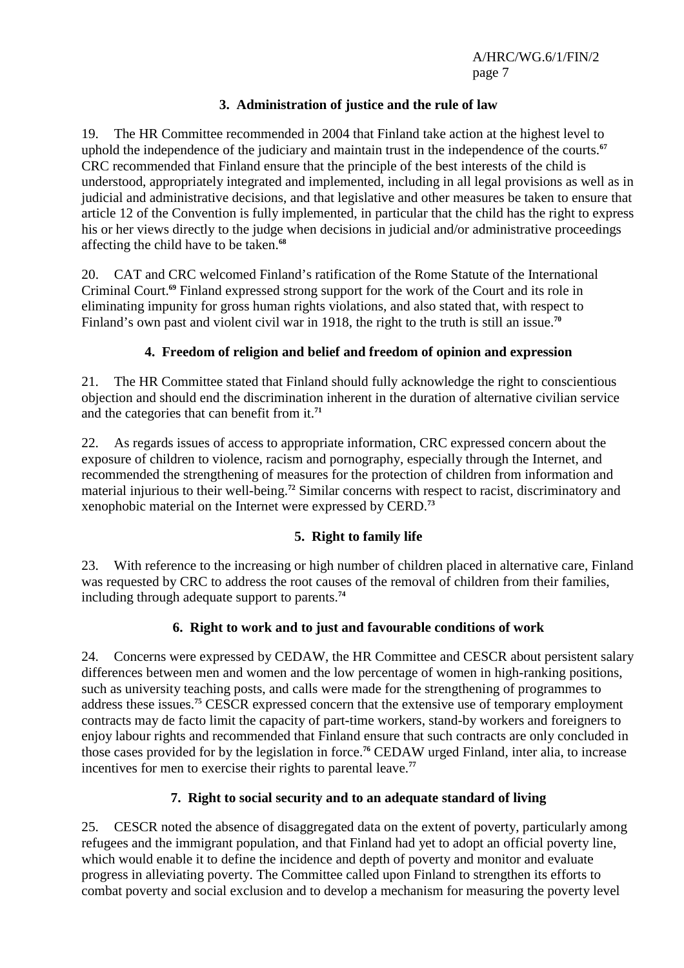## **3. Administration of justice and the rule of law**

19. The HR Committee recommended in 2004 that Finland take action at the highest level to uphold the independence of the judiciary and maintain trust in the independence of the courts.**<sup>67</sup>** CRC recommended that Finland ensure that the principle of the best interests of the child is understood, appropriately integrated and implemented, including in all legal provisions as well as in judicial and administrative decisions, and that legislative and other measures be taken to ensure that article 12 of the Convention is fully implemented, in particular that the child has the right to express his or her views directly to the judge when decisions in judicial and/or administrative proceedings affecting the child have to be taken.**<sup>68</sup>**

20. CAT and CRC welcomed Finland's ratification of the Rome Statute of the International Criminal Court.**<sup>69</sup>** Finland expressed strong support for the work of the Court and its role in eliminating impunity for gross human rights violations, and also stated that, with respect to Finland's own past and violent civil war in 1918, the right to the truth is still an issue.**<sup>70</sup>**

## **4. Freedom of religion and belief and freedom of opinion and expression**

21. The HR Committee stated that Finland should fully acknowledge the right to conscientious objection and should end the discrimination inherent in the duration of alternative civilian service and the categories that can benefit from it.**<sup>71</sup>**

22. As regards issues of access to appropriate information, CRC expressed concern about the exposure of children to violence, racism and pornography, especially through the Internet, and recommended the strengthening of measures for the protection of children from information and material injurious to their well-being.**<sup>72</sup>** Similar concerns with respect to racist, discriminatory and xenophobic material on the Internet were expressed by CERD.**<sup>73</sup>**

# **5. Right to family life**

23. With reference to the increasing or high number of children placed in alternative care, Finland was requested by CRC to address the root causes of the removal of children from their families, including through adequate support to parents.**<sup>74</sup>**

## **6. Right to work and to just and favourable conditions of work**

24. Concerns were expressed by CEDAW, the HR Committee and CESCR about persistent salary differences between men and women and the low percentage of women in high-ranking positions, such as university teaching posts, and calls were made for the strengthening of programmes to address these issues.**<sup>75</sup>** CESCR expressed concern that the extensive use of temporary employment contracts may de facto limit the capacity of part-time workers, stand-by workers and foreigners to enjoy labour rights and recommended that Finland ensure that such contracts are only concluded in those cases provided for by the legislation in force.**<sup>76</sup>** CEDAW urged Finland, inter alia, to increase incentives for men to exercise their rights to parental leave.**<sup>77</sup>**

## **7. Right to social security and to an adequate standard of living**

25. CESCR noted the absence of disaggregated data on the extent of poverty, particularly among refugees and the immigrant population, and that Finland had yet to adopt an official poverty line, which would enable it to define the incidence and depth of poverty and monitor and evaluate progress in alleviating poverty. The Committee called upon Finland to strengthen its efforts to combat poverty and social exclusion and to develop a mechanism for measuring the poverty level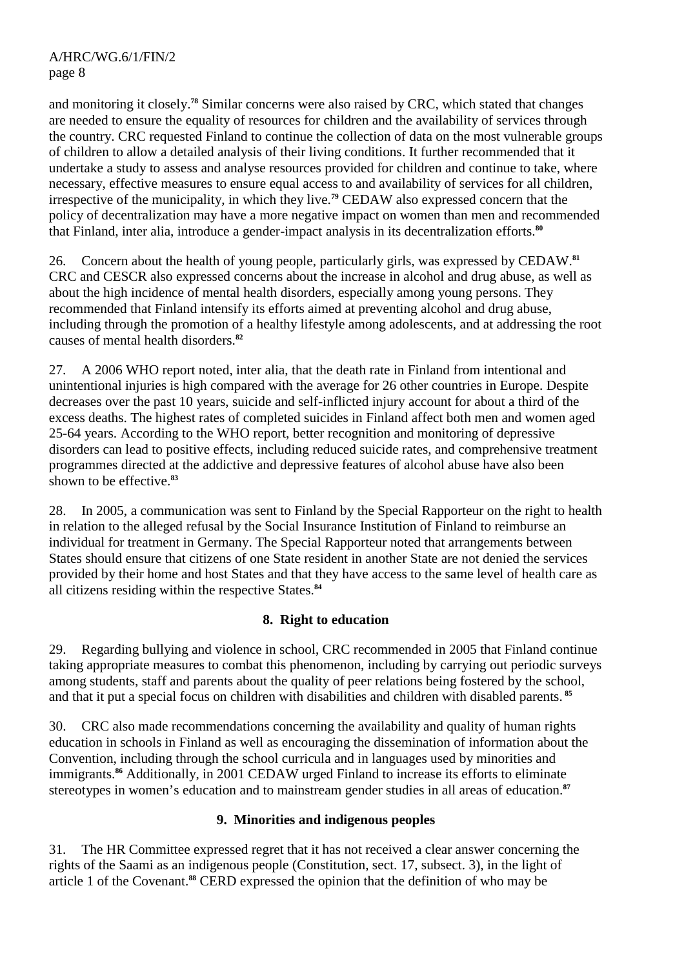and monitoring it closely.**<sup>78</sup>** Similar concerns were also raised by CRC, which stated that changes are needed to ensure the equality of resources for children and the availability of services through the country. CRC requested Finland to continue the collection of data on the most vulnerable groups of children to allow a detailed analysis of their living conditions. It further recommended that it undertake a study to assess and analyse resources provided for children and continue to take, where necessary, effective measures to ensure equal access to and availability of services for all children, irrespective of the municipality, in which they live.**<sup>79</sup>** CEDAW also expressed concern that the policy of decentralization may have a more negative impact on women than men and recommended that Finland, inter alia, introduce a gender-impact analysis in its decentralization efforts.**<sup>80</sup>**

26. Concern about the health of young people, particularly girls, was expressed by CEDAW.**<sup>81</sup>** CRC and CESCR also expressed concerns about the increase in alcohol and drug abuse, as well as about the high incidence of mental health disorders, especially among young persons. They recommended that Finland intensify its efforts aimed at preventing alcohol and drug abuse, including through the promotion of a healthy lifestyle among adolescents, and at addressing the root causes of mental health disorders.**<sup>82</sup>**

27. A 2006 WHO report noted, inter alia, that the death rate in Finland from intentional and unintentional injuries is high compared with the average for 26 other countries in Europe. Despite decreases over the past 10 years, suicide and self-inflicted injury account for about a third of the excess deaths. The highest rates of completed suicides in Finland affect both men and women aged 25-64 years. According to the WHO report, better recognition and monitoring of depressive disorders can lead to positive effects, including reduced suicide rates, and comprehensive treatment programmes directed at the addictive and depressive features of alcohol abuse have also been shown to be effective.**<sup>83</sup>**

28. In 2005, a communication was sent to Finland by the Special Rapporteur on the right to health in relation to the alleged refusal by the Social Insurance Institution of Finland to reimburse an individual for treatment in Germany. The Special Rapporteur noted that arrangements between States should ensure that citizens of one State resident in another State are not denied the services provided by their home and host States and that they have access to the same level of health care as all citizens residing within the respective States.**<sup>84</sup>**

# **8. Right to education**

29. Regarding bullying and violence in school, CRC recommended in 2005 that Finland continue taking appropriate measures to combat this phenomenon, including by carrying out periodic surveys among students, staff and parents about the quality of peer relations being fostered by the school, and that it put a special focus on children with disabilities and children with disabled parents.**<sup>85</sup>**

30. CRC also made recommendations concerning the availability and quality of human rights education in schools in Finland as well as encouraging the dissemination of information about the Convention, including through the school curricula and in languages used by minorities and immigrants.**<sup>86</sup>** Additionally, in 2001 CEDAW urged Finland to increase its efforts to eliminate stereotypes in women's education and to mainstream gender studies in all areas of education.**<sup>87</sup>**

# **9. Minorities and indigenous peoples**

31. The HR Committee expressed regret that it has not received a clear answer concerning the rights of the Saami as an indigenous people (Constitution, sect. 17, subsect. 3), in the light of article 1 of the Covenant.**88** CERD expressed the opinion that the definition of who may be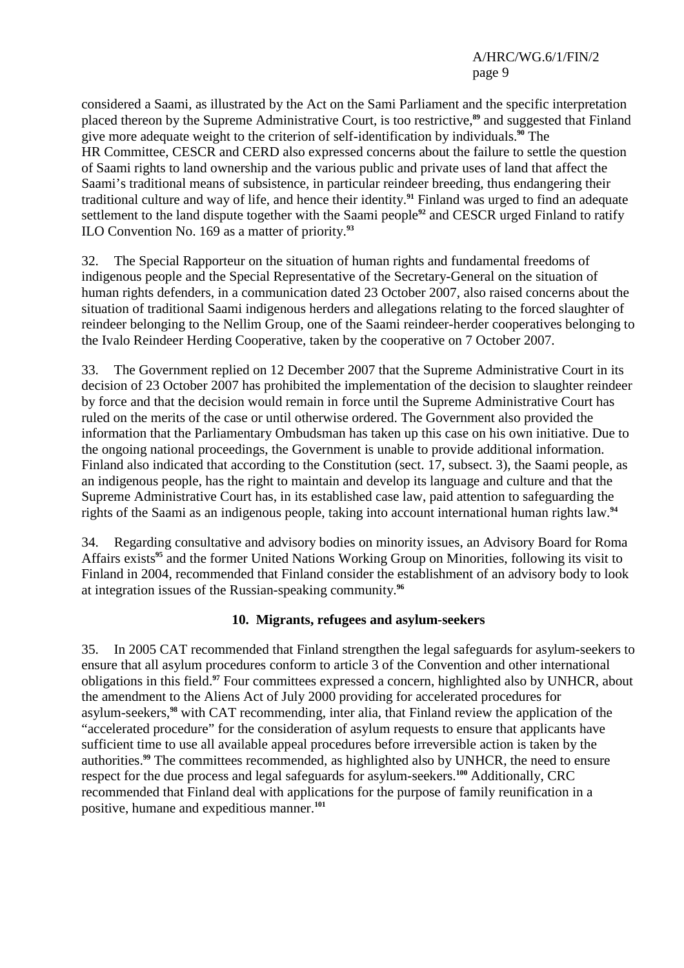considered a Saami, as illustrated by the Act on the Sami Parliament and the specific interpretation placed thereon by the Supreme Administrative Court, is too restrictive,**<sup>89</sup>** and suggested that Finland give more adequate weight to the criterion of self-identification by individuals.**<sup>90</sup>** The HR Committee, CESCR and CERD also expressed concerns about the failure to settle the question of Saami rights to land ownership and the various public and private uses of land that affect the Saami's traditional means of subsistence, in particular reindeer breeding, thus endangering their traditional culture and way of life, and hence their identity.**<sup>91</sup>** Finland was urged to find an adequate settlement to the land dispute together with the Saami people**<sup>92</sup>** and CESCR urged Finland to ratify ILO Convention No. 169 as a matter of priority.**<sup>93</sup>**

32. The Special Rapporteur on the situation of human rights and fundamental freedoms of indigenous people and the Special Representative of the Secretary-General on the situation of human rights defenders, in a communication dated 23 October 2007, also raised concerns about the situation of traditional Saami indigenous herders and allegations relating to the forced slaughter of reindeer belonging to the Nellim Group, one of the Saami reindeer-herder cooperatives belonging to the Ivalo Reindeer Herding Cooperative, taken by the cooperative on 7 October 2007.

33. The Government replied on 12 December 2007 that the Supreme Administrative Court in its decision of 23 October 2007 has prohibited the implementation of the decision to slaughter reindeer by force and that the decision would remain in force until the Supreme Administrative Court has ruled on the merits of the case or until otherwise ordered. The Government also provided the information that the Parliamentary Ombudsman has taken up this case on his own initiative. Due to the ongoing national proceedings, the Government is unable to provide additional information. Finland also indicated that according to the Constitution (sect. 17, subsect. 3), the Saami people, as an indigenous people, has the right to maintain and develop its language and culture and that the Supreme Administrative Court has, in its established case law, paid attention to safeguarding the rights of the Saami as an indigenous people, taking into account international human rights law.**<sup>94</sup>**

34. Regarding consultative and advisory bodies on minority issues, an Advisory Board for Roma Affairs exists**<sup>95</sup>** and the former United Nations Working Group on Minorities, following its visit to Finland in 2004, recommended that Finland consider the establishment of an advisory body to look at integration issues of the Russian-speaking community.**<sup>96</sup>**

## **10. Migrants, refugees and asylum-seekers**

35. In 2005 CAT recommended that Finland strengthen the legal safeguards for asylum-seekers to ensure that all asylum procedures conform to article 3 of the Convention and other international obligations in this field.**<sup>97</sup>** Four committees expressed a concern, highlighted also by UNHCR, about the amendment to the Aliens Act of July 2000 providing for accelerated procedures for asylum-seekers,**<sup>98</sup>** with CAT recommending, inter alia, that Finland review the application of the "accelerated procedure" for the consideration of asylum requests to ensure that applicants have sufficient time to use all available appeal procedures before irreversible action is taken by the authorities.**<sup>99</sup>** The committees recommended, as highlighted also by UNHCR, the need to ensure respect for the due process and legal safeguards for asylum-seekers.**<sup>100</sup>** Additionally, CRC recommended that Finland deal with applications for the purpose of family reunification in a positive, humane and expeditious manner.**101**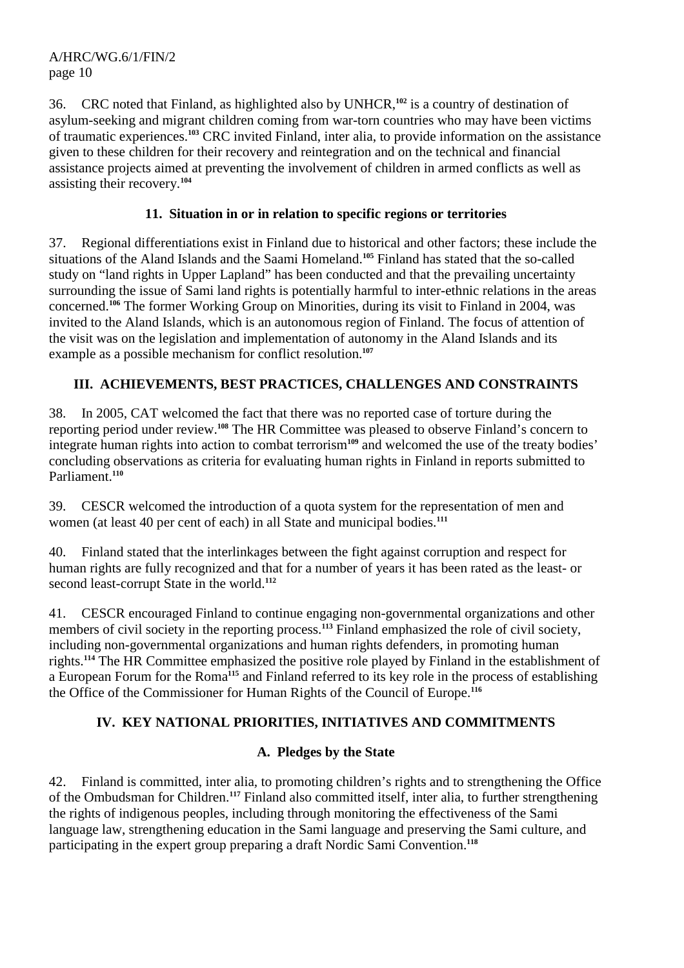36. CRC noted that Finland, as highlighted also by UNHCR,**<sup>102</sup>** is a country of destination of asylum-seeking and migrant children coming from war-torn countries who may have been victims of traumatic experiences.**<sup>103</sup>** CRC invited Finland, inter alia, to provide information on the assistance given to these children for their recovery and reintegration and on the technical and financial assistance projects aimed at preventing the involvement of children in armed conflicts as well as assisting their recovery.**<sup>104</sup>**

## **11. Situation in or in relation to specific regions or territories**

37. Regional differentiations exist in Finland due to historical and other factors; these include the situations of the Aland Islands and the Saami Homeland.**<sup>105</sup>** Finland has stated that the so-called study on "land rights in Upper Lapland" has been conducted and that the prevailing uncertainty surrounding the issue of Sami land rights is potentially harmful to inter-ethnic relations in the areas concerned.**<sup>106</sup>** The former Working Group on Minorities, during its visit to Finland in 2004, was invited to the Aland Islands, which is an autonomous region of Finland. The focus of attention of the visit was on the legislation and implementation of autonomy in the Aland Islands and its example as a possible mechanism for conflict resolution.**<sup>107</sup>**

# **III. ACHIEVEMENTS, BEST PRACTICES, CHALLENGES AND CONSTRAINTS**

38. In 2005, CAT welcomed the fact that there was no reported case of torture during the reporting period under review.**<sup>108</sup>** The HR Committee was pleased to observe Finland's concern to integrate human rights into action to combat terrorism**<sup>109</sup>** and welcomed the use of the treaty bodies' concluding observations as criteria for evaluating human rights in Finland in reports submitted to Parliament.**<sup>110</sup>**

39. CESCR welcomed the introduction of a quota system for the representation of men and women (at least 40 per cent of each) in all State and municipal bodies.<sup>111</sup>

40. Finland stated that the interlinkages between the fight against corruption and respect for human rights are fully recognized and that for a number of years it has been rated as the least- or second least-corrupt State in the world.**<sup>112</sup>**

41. CESCR encouraged Finland to continue engaging non-governmental organizations and other members of civil society in the reporting process.<sup>113</sup> Finland emphasized the role of civil society, including non-governmental organizations and human rights defenders, in promoting human rights.**<sup>114</sup>** The HR Committee emphasized the positive role played by Finland in the establishment of a European Forum for the Roma**<sup>115</sup>** and Finland referred to its key role in the process of establishing the Office of the Commissioner for Human Rights of the Council of Europe.**<sup>116</sup>**

## **IV. KEY NATIONAL PRIORITIES, INITIATIVES AND COMMITMENTS**

## **A. Pledges by the State**

42. Finland is committed, inter alia*,* to promoting children's rights and to strengthening the Office of the Ombudsman for Children.**<sup>117</sup>** Finland also committed itself, inter alia, to further strengthening the rights of indigenous peoples, including through monitoring the effectiveness of the Sami language law, strengthening education in the Sami language and preserving the Sami culture, and participating in the expert group preparing a draft Nordic Sami Convention.**118**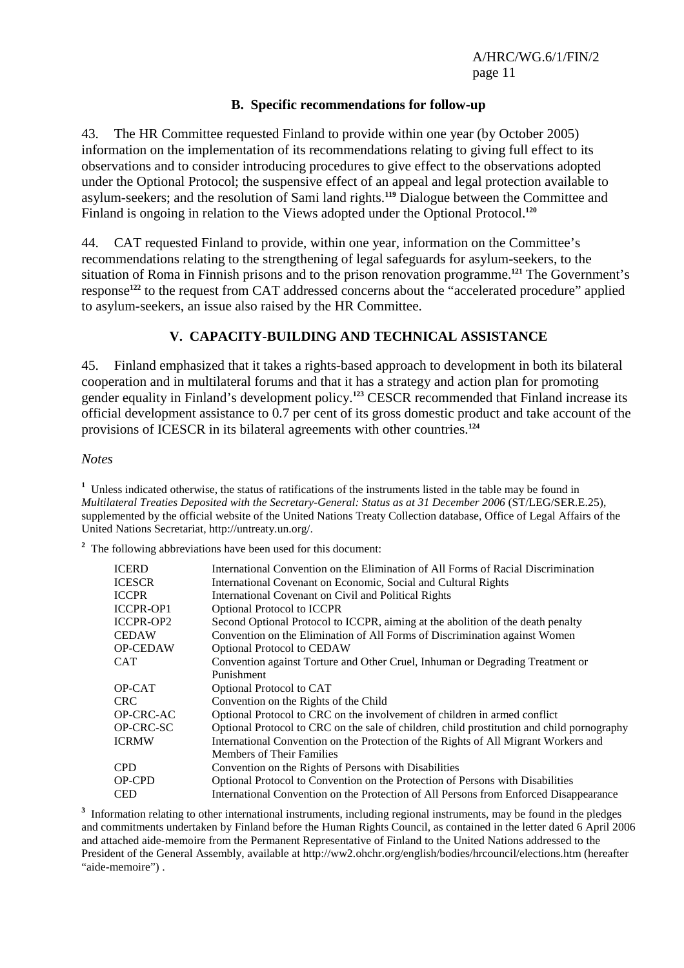#### **B. Specific recommendations for follow-up**

43. The HR Committee requested Finland to provide within one year (by October 2005) information on the implementation of its recommendations relating to giving full effect to its observations and to consider introducing procedures to give effect to the observations adopted under the Optional Protocol; the suspensive effect of an appeal and legal protection available to asylum-seekers; and the resolution of Sami land rights.**<sup>119</sup>** Dialogue between the Committee and Finland is ongoing in relation to the Views adopted under the Optional Protocol.**<sup>120</sup>**

44. CAT requested Finland to provide, within one year, information on the Committee's recommendations relating to the strengthening of legal safeguards for asylum-seekers, to the situation of Roma in Finnish prisons and to the prison renovation programme.**<sup>121</sup>** The Government's response**<sup>122</sup>** to the request from CAT addressed concerns about the "accelerated procedure" applied to asylum-seekers, an issue also raised by the HR Committee.

## **V. CAPACITY-BUILDING AND TECHNICAL ASSISTANCE**

45. Finland emphasized that it takes a rights-based approach to development in both its bilateral cooperation and in multilateral forums and that it has a strategy and action plan for promoting gender equality in Finland's development policy.**<sup>123</sup>** CESCR recommended that Finland increase its official development assistance to 0.7 per cent of its gross domestic product and take account of the provisions of ICESCR in its bilateral agreements with other countries.**<sup>124</sup>**

#### *Notes*

<sup>1</sup> Unless indicated otherwise, the status of ratifications of the instruments listed in the table may be found in *Multilateral Treaties Deposited with the Secretary-General: Status as at 31 December 2006* (ST/LEG/SER.E.25), supplemented by the official website of the United Nations Treaty Collection database, Office of Legal Affairs of the United Nations Secretariat, http://untreaty.un.org/.

<sup>2</sup> The following abbreviations have been used for this document:

| <b>ICERD</b>     | International Convention on the Elimination of All Forms of Racial Discrimination          |
|------------------|--------------------------------------------------------------------------------------------|
| <b>ICESCR</b>    | International Covenant on Economic, Social and Cultural Rights                             |
| <b>ICCPR</b>     | International Covenant on Civil and Political Rights                                       |
| <b>ICCPR-OP1</b> | <b>Optional Protocol to ICCPR</b>                                                          |
| <b>ICCPR-OP2</b> | Second Optional Protocol to ICCPR, aiming at the abolition of the death penalty            |
| <b>CEDAW</b>     | Convention on the Elimination of All Forms of Discrimination against Women                 |
| OP-CEDAW         | <b>Optional Protocol to CEDAW</b>                                                          |
| CAT              | Convention against Torture and Other Cruel, Inhuman or Degrading Treatment or              |
|                  | Punishment                                                                                 |
| OP-CAT           | Optional Protocol to CAT                                                                   |
| CRC.             | Convention on the Rights of the Child                                                      |
| OP-CRC-AC        | Optional Protocol to CRC on the involvement of children in armed conflict                  |
| OP-CRC-SC        | Optional Protocol to CRC on the sale of children, child prostitution and child pornography |
| <b>ICRMW</b>     | International Convention on the Protection of the Rights of All Migrant Workers and        |
|                  | Members of Their Families                                                                  |
| CPD.             | Convention on the Rights of Persons with Disabilities                                      |
| OP-CPD           | Optional Protocol to Convention on the Protection of Persons with Disabilities             |
| <b>CED</b>       | International Convention on the Protection of All Persons from Enforced Disappearance      |

<sup>3</sup> Information relating to other international instruments, including regional instruments, may be found in the pledges and commitments undertaken by Finland before the Human Rights Council, as contained in the letter dated 6 April 2006 and attached aide-memoire from the Permanent Representative of Finland to the United Nations addressed to the President of the General Assembly, available at http://ww2.ohchr.org/english/bodies/hrcouncil/elections.htm (hereafter "aide-memoire").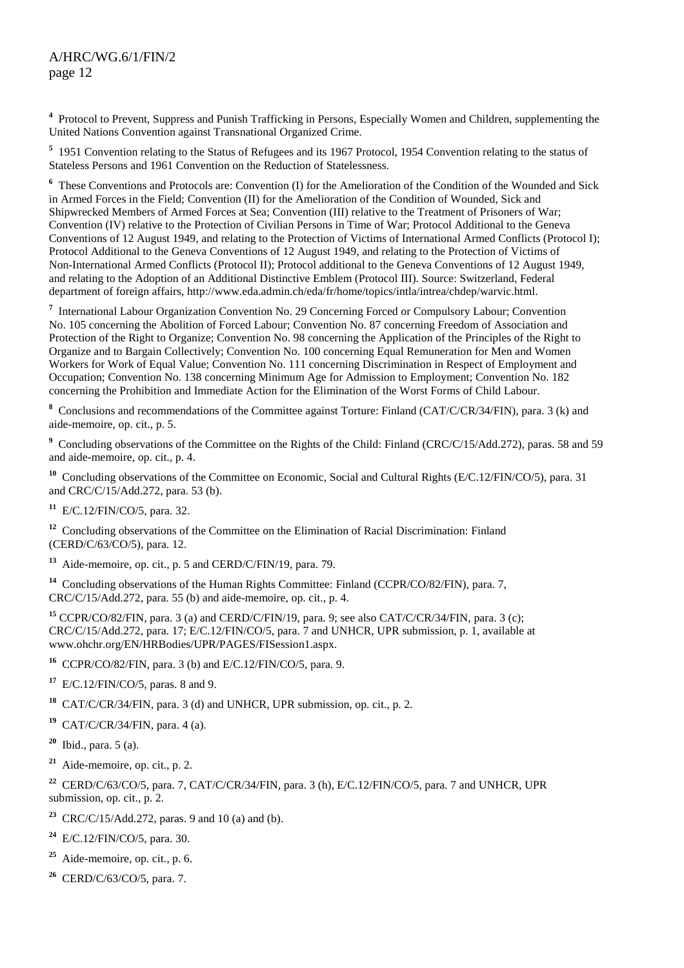<sup>4</sup> Protocol to Prevent, Suppress and Punish Trafficking in Persons, Especially Women and Children, supplementing the United Nations Convention against Transnational Organized Crime.

<sup>5</sup> 1951 Convention relating to the Status of Refugees and its 1967 Protocol, 1954 Convention relating to the status of Stateless Persons and 1961 Convention on the Reduction of Statelessness.

<sup>6</sup> These Conventions and Protocols are: Convention (I) for the Amelioration of the Condition of the Wounded and Sick in Armed Forces in the Field; Convention (II) for the Amelioration of the Condition of Wounded, Sick and Shipwrecked Members of Armed Forces at Sea; Convention (III) relative to the Treatment of Prisoners of War; Convention (IV) relative to the Protection of Civilian Persons in Time of War; Protocol Additional to the Geneva Conventions of 12 August 1949, and relating to the Protection of Victims of International Armed Conflicts (Protocol I); Protocol Additional to the Geneva Conventions of 12 August 1949, and relating to the Protection of Victims of Non-International Armed Conflicts (Protocol II); Protocol additional to the Geneva Conventions of 12 August 1949, and relating to the Adoption of an Additional Distinctive Emblem (Protocol III). Source: Switzerland, Federal department of foreign affairs, http://www.eda.admin.ch/eda/fr/home/topics/intla/intrea/chdep/warvic.html.

<sup>7</sup> International Labour Organization Convention No. 29 Concerning Forced or Compulsory Labour; Convention No. 105 concerning the Abolition of Forced Labour; Convention No. 87 concerning Freedom of Association and Protection of the Right to Organize; Convention No. 98 concerning the Application of the Principles of the Right to Organize and to Bargain Collectively; Convention No. 100 concerning Equal Remuneration for Men and Women Workers for Work of Equal Value; Convention No. 111 concerning Discrimination in Respect of Employment and Occupation; Convention No. 138 concerning Minimum Age for Admission to Employment; Convention No. 182 concerning the Prohibition and Immediate Action for the Elimination of the Worst Forms of Child Labour.

<sup>8</sup> Conclusions and recommendations of the Committee against Torture: Finland (CAT/C/CR/34/FIN), para. 3 (k) and aide-memoire, op. cit., p. 5.

<sup>9</sup> Concluding observations of the Committee on the Rights of the Child: Finland (CRC/C/15/Add.272), paras. 58 and 59 and aide-memoire, op. cit., p. 4.

**<sup>10</sup>** Concluding observations of the Committee on Economic, Social and Cultural Rights (E/C.12/FIN/CO/5), para. 31 and CRC/C/15/Add.272, para. 53 (b).

**<sup>11</sup>** E/C.12/FIN/CO/5, para. 32.

<sup>12</sup> Concluding observations of the Committee on the Elimination of Racial Discrimination: Finland (CERD/C/63/CO/5), para. 12.

**<sup>13</sup>** Aide-memoire, op. cit., p. 5 and CERD/C/FIN/19, para. 79.

<sup>14</sup> Concluding observations of the Human Rights Committee: Finland (CCPR/CO/82/FIN), para. 7, CRC/C/15/Add.272, para. 55 (b) and aide-memoire, op. cit., p. 4.

**<sup>15</sup>** CCPR/CO/82/FIN, para. 3 (a) and CERD/C/FIN/19, para. 9; see also CAT/C/CR/34/FIN, para. 3 (c); CRC/C/15/Add.272, para. 17; E/C.12/FIN/CO/5, para. 7 and UNHCR, UPR submission, p. 1, available at www.ohchr.org/EN/HRBodies/UPR/PAGES/FISession1.aspx.

**<sup>16</sup>** CCPR/CO/82/FIN, para. 3 (b) and E/C.12/FIN/CO/5, para. 9.

**<sup>17</sup>** E/C.12/FIN/CO/5, paras. 8 and 9.

**<sup>18</sup>** CAT/C/CR/34/FIN, para. 3 (d) and UNHCR, UPR submission, op. cit., p. 2.

**<sup>19</sup>** CAT/C/CR/34/FIN, para. 4 (a).

**<sup>20</sup>** Ibid., para. 5 (a).

**<sup>21</sup>** Aide-memoire, op. cit., p. 2.

**<sup>22</sup>** CERD/C/63/CO/5, para. 7, CAT/C/CR/34/FIN, para. 3 (h), E/C.12/FIN/CO/5, para. 7 and UNHCR, UPR submission, op. cit., p. 2.

**<sup>23</sup>** CRC/C/15/Add.272, paras. 9 and 10 (a) and (b).

**<sup>24</sup>** E/C.12/FIN/CO/5, para. 30.

**<sup>25</sup>** Aide-memoire, op. cit., p. 6.

**<sup>26</sup>** CERD/C/63/CO/5, para. 7.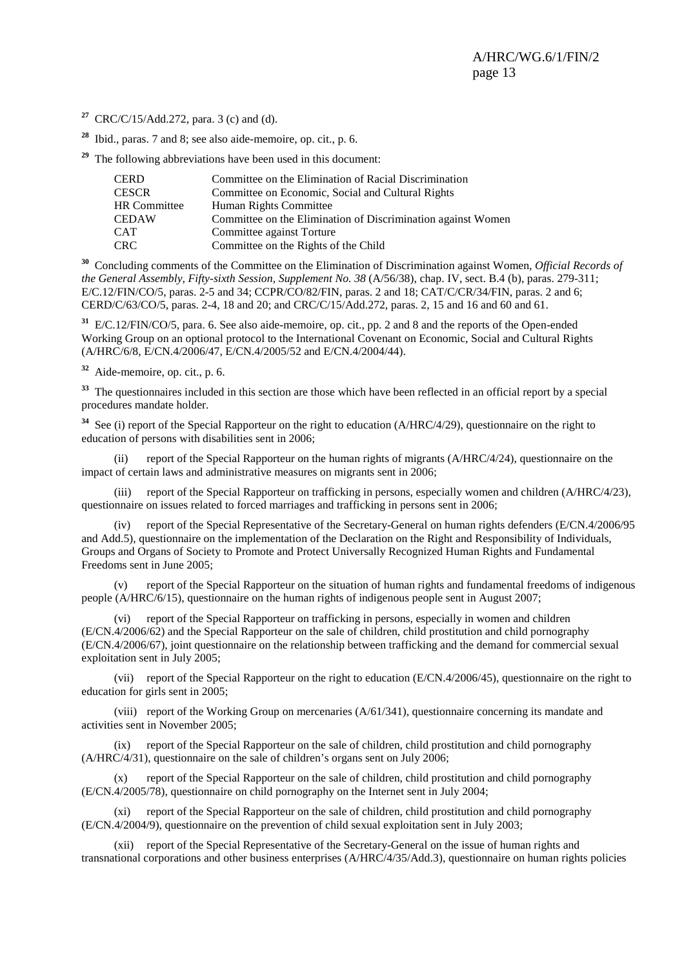- **<sup>27</sup>** CRC/C/15/Add.272, para. 3 (c) and (d).
- **<sup>28</sup>** Ibid., paras. 7 and 8; see also aide-memoire, op. cit., p. 6.
- **<sup>29</sup>** The following abbreviations have been used in this document:

| <b>CERD</b>         | Committee on the Elimination of Racial Discrimination        |
|---------------------|--------------------------------------------------------------|
| <b>CESCR</b>        | Committee on Economic, Social and Cultural Rights            |
| <b>HR</b> Committee | Human Rights Committee                                       |
| <b>CEDAW</b>        | Committee on the Elimination of Discrimination against Women |
| <b>CAT</b>          | Committee against Torture                                    |
| <b>CRC</b>          | Committee on the Rights of the Child                         |

**<sup>30</sup>** Concluding comments of the Committee on the Elimination of Discrimination against Women, *Official Records of the General Assembly, Fifty-sixth Session, Supplement No. 38 (A/56/38), chap. IV, sect. B.4 (b), paras. 279-311;* E/C.12/FIN/CO/5, paras. 2-5 and 34; CCPR/CO/82/FIN, paras. 2 and 18; CAT/C/CR/34/FIN, paras. 2 and 6; CERD/C/63/CO/5, paras. 2-4, 18 and 20; and CRC/C/15/Add.272, paras. 2, 15 and 16 and 60 and 61.

**<sup>31</sup>** E/C.12/FIN/CO/5, para. 6. See also aide-memoire, op. cit., pp. 2 and 8 and the reports of the Open-ended Working Group on an optional protocol to the International Covenant on Economic, Social and Cultural Rights (A/HRC/6/8, E/CN.4/2006/47, E/CN.4/2005/52 and E/CN.4/2004/44).

**<sup>32</sup>** Aide-memoire, op. cit., p. 6.

<sup>33</sup> The questionnaires included in this section are those which have been reflected in an official report by a special procedures mandate holder.

<sup>34</sup> See (i) report of the Special Rapporteur on the right to education (A/HRC/4/29), questionnaire on the right to education of persons with disabilities sent in 2006;

 (ii) report of the Special Rapporteur on the human rights of migrants (A/HRC/4/24), questionnaire on the impact of certain laws and administrative measures on migrants sent in 2006;

 (iii) report of the Special Rapporteur on trafficking in persons, especially women and children (A/HRC/4/23), questionnaire on issues related to forced marriages and trafficking in persons sent in 2006;

 (iv) report of the Special Representative of the Secretary-General on human rights defenders (E/CN.4/2006/95 and Add.5), questionnaire on the implementation of the Declaration on the Right and Responsibility of Individuals, Groups and Organs of Society to Promote and Protect Universally Recognized Human Rights and Fundamental Freedoms sent in June 2005;

 (v) report of the Special Rapporteur on the situation of human rights and fundamental freedoms of indigenous people (A/HRC/6/15), questionnaire on the human rights of indigenous people sent in August 2007;

 (vi) report of the Special Rapporteur on trafficking in persons, especially in women and children (E/CN.4/2006/62) and the Special Rapporteur on the sale of children, child prostitution and child pornography (E/CN.4/2006/67), joint questionnaire on the relationship between trafficking and the demand for commercial sexual exploitation sent in July 2005;

 (vii) report of the Special Rapporteur on the right to education (E/CN.4/2006/45), questionnaire on the right to education for girls sent in 2005;

 (viii) report of the Working Group on mercenaries (A/61/341), questionnaire concerning its mandate and activities sent in November 2005;

 (ix) report of the Special Rapporteur on the sale of children, child prostitution and child pornography (A/HRC/4/31), questionnaire on the sale of children's organs sent on July 2006;

 (x) report of the Special Rapporteur on the sale of children, child prostitution and child pornography (E/CN.4/2005/78), questionnaire on child pornography on the Internet sent in July 2004;

 (xi) report of the Special Rapporteur on the sale of children, child prostitution and child pornography (E/CN.4/2004/9), questionnaire on the prevention of child sexual exploitation sent in July 2003;

 (xii) report of the Special Representative of the Secretary-General on the issue of human rights and transnational corporations and other business enterprises (A/HRC/4/35/Add.3), questionnaire on human rights policies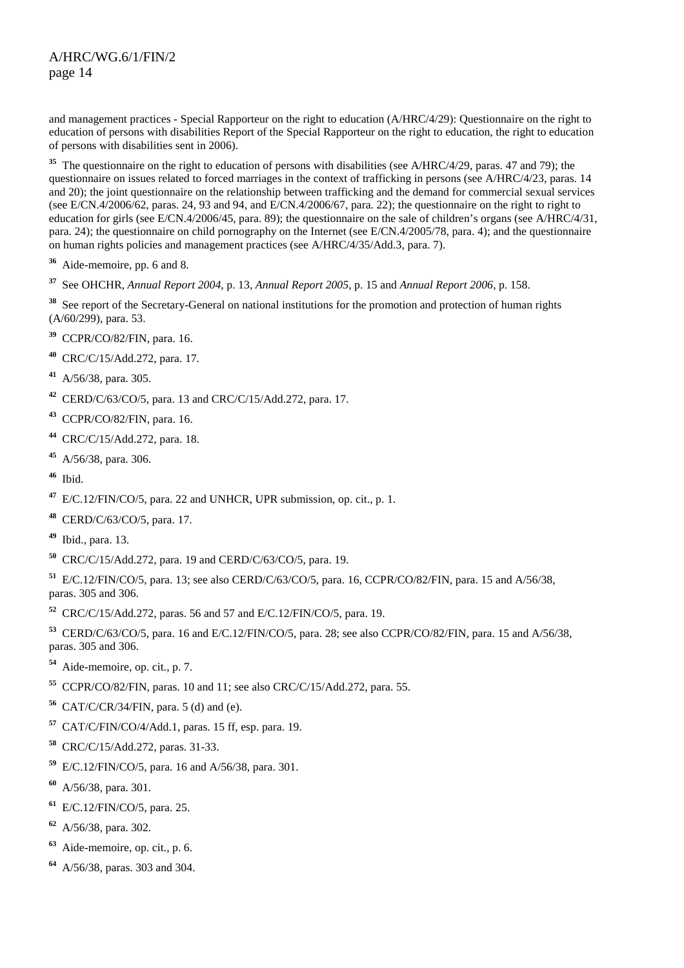and management practices - Special Rapporteur on the right to education (A/HRC/4/29): Questionnaire on the right to education of persons with disabilities Report of the Special Rapporteur on the right to education, the right to education of persons with disabilities sent in 2006).

<sup>35</sup> The questionnaire on the right to education of persons with disabilities (see A/HRC/4/29, paras. 47 and 79); the questionnaire on issues related to forced marriages in the context of trafficking in persons (see A/HRC/4/23, paras. 14 and 20); the joint questionnaire on the relationship between trafficking and the demand for commercial sexual services (see E/CN.4/2006/62, paras. 24, 93 and 94, and E/CN.4/2006/67, para. 22); the questionnaire on the right to right to education for girls (see E/CN.4/2006/45, para. 89); the questionnaire on the sale of children's organs (see A/HRC/4/31, para. 24); the questionnaire on child pornography on the Internet (see E/CN.4/2005/78, para. 4); and the questionnaire on human rights policies and management practices (see A/HRC/4/35/Add.3, para. 7).

- Aide-memoire, pp. 6 and 8.
- See OHCHR, *Annual Report 2004*, p. 13, *Annual Report 2005*, p. 15 and *Annual Report 2006*, p. 158.
- <sup>38</sup> See report of the Secretary-General on national institutions for the promotion and protection of human rights  $(A/60/299)$ , para. 53.
- CCPR/CO/82/FIN, para. 16.
- CRC/C/15/Add.272, para. 17.
- A/56/38, para. 305.
- CERD/C/63/CO/5, para. 13 and CRC/C/15/Add.272, para. 17.
- CCPR/CO/82/FIN, para. 16.
- CRC/C/15/Add.272, para. 18.
- A/56/38, para. 306.
- Ibid.
- E/C.12/FIN/CO/5, para. 22 and UNHCR, UPR submission, op. cit., p. 1.
- CERD/C/63/CO/5, para. 17.
- Ibid., para. 13.
- CRC/C/15/Add.272, para. 19 and CERD/C/63/CO/5, para. 19.

 E/C.12/FIN/CO/5, para. 13; see also CERD/C/63/CO/5, para. 16, CCPR/CO/82/FIN, para. 15 and A/56/38, paras. 305 and 306.

CRC/C/15/Add.272, paras. 56 and 57 and E/C.12/FIN/CO/5, para. 19.

 CERD/C/63/CO/5, para. 16 and E/C.12/FIN/CO/5, para. 28; see also CCPR/CO/82/FIN, para. 15 and A/56/38, paras. 305 and 306.

- Aide-memoire, op. cit., p. 7.
- CCPR/CO/82/FIN, paras. 10 and 11; see also CRC/C/15/Add.272, para. 55.
- CAT/C/CR/34/FIN, para. 5 (d) and (e).
- CAT/C/FIN/CO/4/Add.1, paras. 15 ff, esp. para. 19.
- CRC/C/15/Add.272, paras. 31-33.
- E/C.12/FIN/CO/5, para. 16 and A/56/38, para. 301.
- A/56/38, para. 301.
- E/C.12/FIN/CO/5, para. 25.
- A/56/38, para. 302.
- Aide-memoire, op. cit., p. 6.
- A/56/38, paras. 303 and 304.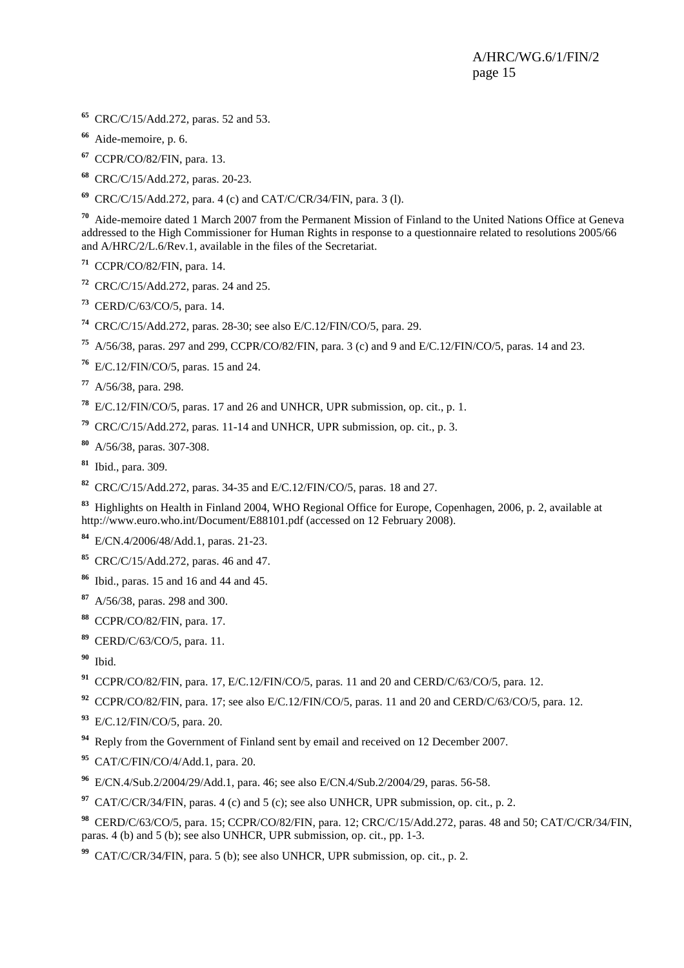- CRC/C/15/Add.272, paras. 52 and 53.
- Aide-memoire, p. 6.
- CCPR/CO/82/FIN, para. 13.
- CRC/C/15/Add.272, paras. 20-23.
- CRC/C/15/Add.272, para. 4 (c) and CAT/C/CR/34/FIN, para. 3 (l).

 Aide-memoire dated 1 March 2007 from the Permanent Mission of Finland to the United Nations Office at Geneva addressed to the High Commissioner for Human Rights in response to a questionnaire related to resolutions 2005/66 and A/HRC/2/L.6/Rev.1, available in the files of the Secretariat.

- CCPR/CO/82/FIN, para. 14.
- CRC/C/15/Add.272, paras. 24 and 25.
- CERD/C/63/CO/5, para. 14.
- CRC/C/15/Add.272, paras. 28-30; see also E/C.12/FIN/CO/5, para. 29.
- A/56/38, paras. 297 and 299, CCPR/CO/82/FIN, para. 3 (c) and 9 and E/C.12/FIN/CO/5, paras. 14 and 23.
- E/C.12/FIN/CO/5, paras. 15 and 24.
- A/56/38, para. 298.
- E/C.12/FIN/CO/5, paras. 17 and 26 and UNHCR, UPR submission, op. cit., p. 1.
- CRC/C/15/Add.272, paras. 11-14 and UNHCR, UPR submission, op. cit., p. 3.
- A/56/38, paras. 307-308.
- Ibid., para. 309.
- CRC/C/15/Add.272, paras. 34-35 and E/C.12/FIN/CO/5, paras. 18 and 27.

 Highlights on Health in Finland 2004, WHO Regional Office for Europe, Copenhagen, 2006, p. 2, available at http://www.euro.who.int/Document/E88101.pdf (accessed on 12 February 2008).

- E/CN.4/2006/48/Add.1, paras. 21-23.
- CRC/C/15/Add.272, paras. 46 and 47.
- Ibid., paras. 15 and 16 and 44 and 45.
- A/56/38, paras. 298 and 300.
- CCPR/CO/82/FIN, para. 17.
- CERD/C/63/CO/5, para. 11.
- Ibid.
- CCPR/CO/82/FIN, para. 17, E/C.12/FIN/CO/5, paras. 11 and 20 and CERD/C/63/CO/5, para. 12.
- CCPR/CO/82/FIN, para. 17; see also E/C.12/FIN/CO/5, paras. 11 and 20 and CERD/C/63/CO/5, para. 12.
- E/C.12/FIN/CO/5, para. 20.
- Reply from the Government of Finland sent by email and received on 12 December 2007.
- CAT/C/FIN/CO/4/Add.1, para. 20.
- E/CN.4/Sub.2/2004/29/Add.1, para. 46; see also E/CN.4/Sub.2/2004/29, paras. 56-58.
- CAT/C/CR/34/FIN, paras. 4 (c) and 5 (c); see also UNHCR, UPR submission, op. cit., p. 2.

 CERD/C/63/CO/5, para. 15; CCPR/CO/82/FIN, para. 12; CRC/C/15/Add.272, paras. 48 and 50; CAT/C/CR/34/FIN, paras. 4 (b) and 5 (b); see also UNHCR, UPR submission, op. cit., pp. 1-3.

CAT/C/CR/34/FIN, para. 5 (b); see also UNHCR, UPR submission, op. cit., p. 2.